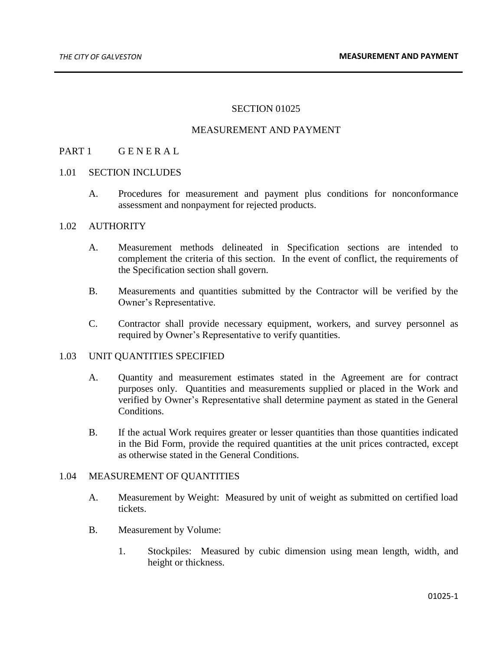## SECTION 01025

## MEASUREMENT AND PAYMENT

# PART 1 GENERAL

#### 1.01 SECTION INCLUDES

A. Procedures for measurement and payment plus conditions for nonconformance assessment and nonpayment for rejected products.

## 1.02 AUTHORITY

- A. Measurement methods delineated in Specification sections are intended to complement the criteria of this section. In the event of conflict, the requirements of the Specification section shall govern.
- B. Measurements and quantities submitted by the Contractor will be verified by the Owner's Representative.
- C. Contractor shall provide necessary equipment, workers, and survey personnel as required by Owner's Representative to verify quantities.

# 1.03 UNIT QUANTITIES SPECIFIED

- A. Quantity and measurement estimates stated in the Agreement are for contract purposes only. Quantities and measurements supplied or placed in the Work and verified by Owner's Representative shall determine payment as stated in the General Conditions.
- B. If the actual Work requires greater or lesser quantities than those quantities indicated in the Bid Form, provide the required quantities at the unit prices contracted, except as otherwise stated in the General Conditions.

#### 1.04 MEASUREMENT OF QUANTITIES

- A. Measurement by Weight: Measured by unit of weight as submitted on certified load tickets.
- B. Measurement by Volume:
	- 1. Stockpiles: Measured by cubic dimension using mean length, width, and height or thickness.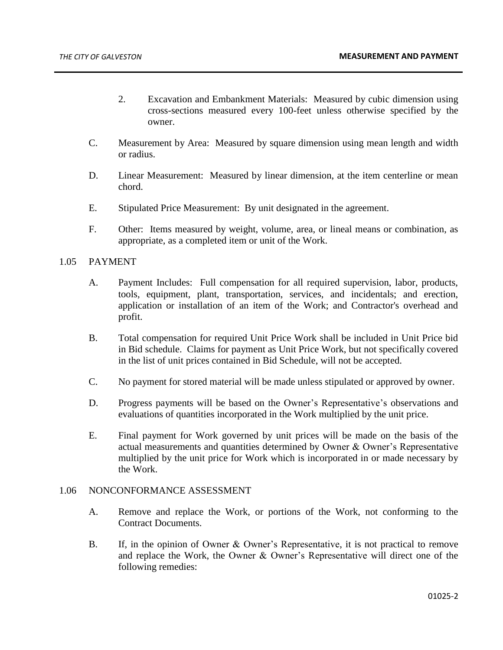- 2. Excavation and Embankment Materials: Measured by cubic dimension using cross-sections measured every 100-feet unless otherwise specified by the owner.
- C. Measurement by Area: Measured by square dimension using mean length and width or radius.
- D. Linear Measurement: Measured by linear dimension, at the item centerline or mean chord.
- E. Stipulated Price Measurement: By unit designated in the agreement.
- F. Other: Items measured by weight, volume, area, or lineal means or combination, as appropriate, as a completed item or unit of the Work.

## 1.05 PAYMENT

- A. Payment Includes: Full compensation for all required supervision, labor, products, tools, equipment, plant, transportation, services, and incidentals; and erection, application or installation of an item of the Work; and Contractor's overhead and profit.
- B. Total compensation for required Unit Price Work shall be included in Unit Price bid in Bid schedule. Claims for payment as Unit Price Work, but not specifically covered in the list of unit prices contained in Bid Schedule, will not be accepted.
- C. No payment for stored material will be made unless stipulated or approved by owner.
- D. Progress payments will be based on the Owner's Representative's observations and evaluations of quantities incorporated in the Work multiplied by the unit price.
- E. Final payment for Work governed by unit prices will be made on the basis of the actual measurements and quantities determined by Owner & Owner's Representative multiplied by the unit price for Work which is incorporated in or made necessary by the Work.

#### 1.06 NONCONFORMANCE ASSESSMENT

- A. Remove and replace the Work, or portions of the Work, not conforming to the Contract Documents.
- B. If, in the opinion of Owner & Owner's Representative, it is not practical to remove and replace the Work, the Owner & Owner's Representative will direct one of the following remedies: